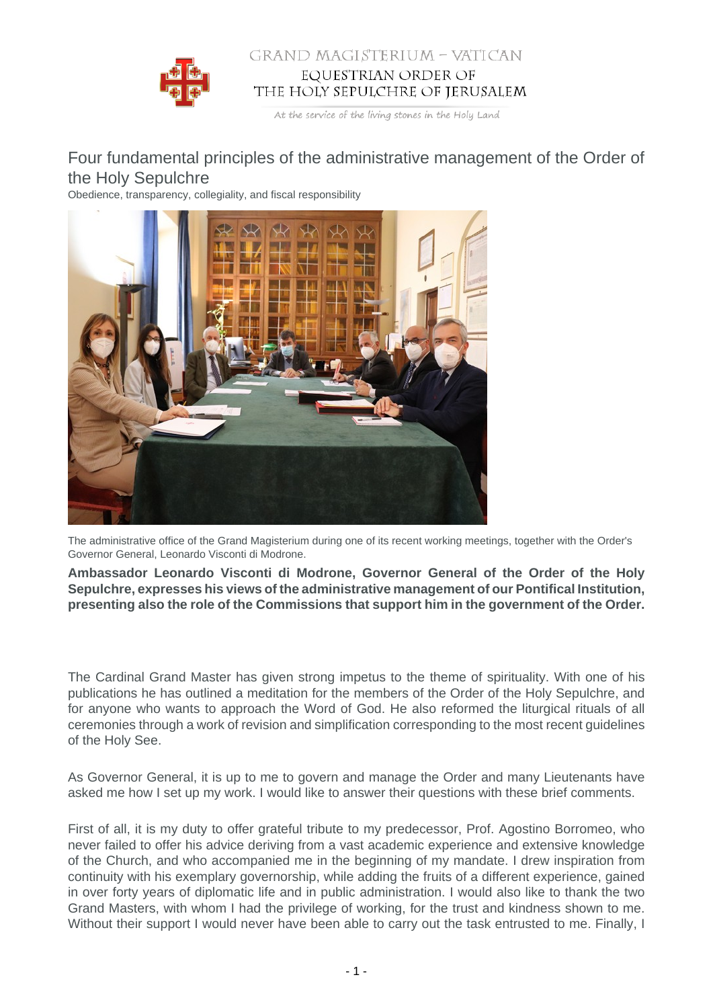

## GRAND MAGISTERIUM - VATICAN EQUESTRIAN ORDER OF THE HOLY SEPULCHRE OF JERUSALEM

At the service of the living stones in the Holy Land

## Four fundamental principles of the administrative management of the Order of the Holy Sepulchre

Obedience, transparency, collegiality, and fiscal responsibility



The administrative office of the Grand Magisterium during one of its recent working meetings, together with the Order's Governor General, Leonardo Visconti di Modrone.

**Ambassador Leonardo Visconti di Modrone, Governor General of the Order of the Holy Sepulchre, expresses his views of the administrative management of our Pontifical Institution, presenting also the role of the Commissions that support him in the government of the Order.**

The Cardinal Grand Master has given strong impetus to the theme of spirituality. With one of his publications he has outlined a meditation for the members of the Order of the Holy Sepulchre, and for anyone who wants to approach the Word of God. He also reformed the liturgical rituals of all ceremonies through a work of revision and simplification corresponding to the most recent guidelines of the Holy See.

As Governor General, it is up to me to govern and manage the Order and many Lieutenants have asked me how I set up my work. I would like to answer their questions with these brief comments.

First of all, it is my duty to offer grateful tribute to my predecessor, Prof. Agostino Borromeo, who never failed to offer his advice deriving from a vast academic experience and extensive knowledge of the Church, and who accompanied me in the beginning of my mandate. I drew inspiration from continuity with his exemplary governorship, while adding the fruits of a different experience, gained in over forty years of diplomatic life and in public administration. I would also like to thank the two Grand Masters, with whom I had the privilege of working, for the trust and kindness shown to me. Without their support I would never have been able to carry out the task entrusted to me. Finally, I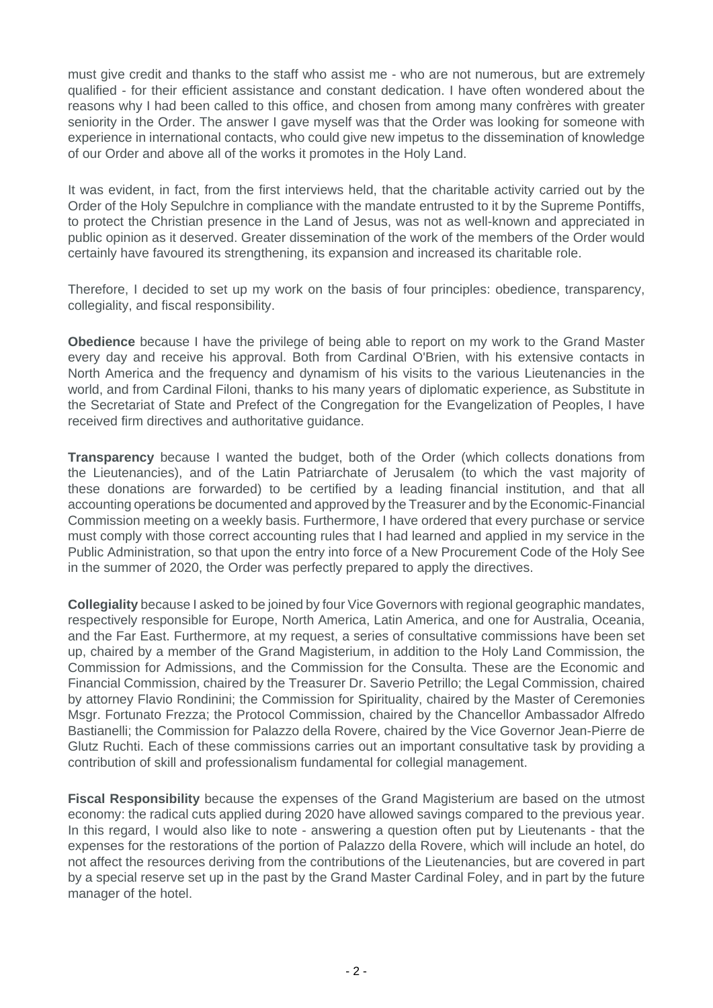must give credit and thanks to the staff who assist me - who are not numerous, but are extremely qualified - for their efficient assistance and constant dedication. I have often wondered about the reasons why I had been called to this office, and chosen from among many confrères with greater seniority in the Order. The answer I gave myself was that the Order was looking for someone with experience in international contacts, who could give new impetus to the dissemination of knowledge of our Order and above all of the works it promotes in the Holy Land.

It was evident, in fact, from the first interviews held, that the charitable activity carried out by the Order of the Holy Sepulchre in compliance with the mandate entrusted to it by the Supreme Pontiffs, to protect the Christian presence in the Land of Jesus, was not as well-known and appreciated in public opinion as it deserved. Greater dissemination of the work of the members of the Order would certainly have favoured its strengthening, its expansion and increased its charitable role.

Therefore, I decided to set up my work on the basis of four principles: obedience, transparency, collegiality, and fiscal responsibility.

**Obedience** because I have the privilege of being able to report on my work to the Grand Master every day and receive his approval. Both from Cardinal O'Brien, with his extensive contacts in North America and the frequency and dynamism of his visits to the various Lieutenancies in the world, and from Cardinal Filoni, thanks to his many years of diplomatic experience, as Substitute in the Secretariat of State and Prefect of the Congregation for the Evangelization of Peoples, I have received firm directives and authoritative guidance.

**Transparency** because I wanted the budget, both of the Order (which collects donations from the Lieutenancies), and of the Latin Patriarchate of Jerusalem (to which the vast majority of these donations are forwarded) to be certified by a leading financial institution, and that all accounting operations be documented and approved by the Treasurer and by the Economic-Financial Commission meeting on a weekly basis. Furthermore, I have ordered that every purchase or service must comply with those correct accounting rules that I had learned and applied in my service in the Public Administration, so that upon the entry into force of a New Procurement Code of the Holy See in the summer of 2020, the Order was perfectly prepared to apply the directives.

**Collegiality** because I asked to be joined by four Vice Governors with regional geographic mandates, respectively responsible for Europe, North America, Latin America, and one for Australia, Oceania, and the Far East. Furthermore, at my request, a series of consultative commissions have been set up, chaired by a member of the Grand Magisterium, in addition to the Holy Land Commission, the Commission for Admissions, and the Commission for the Consulta. These are the Economic and Financial Commission, chaired by the Treasurer Dr. Saverio Petrillo; the Legal Commission, chaired by attorney Flavio Rondinini; the Commission for Spirituality, chaired by the Master of Ceremonies Msgr. Fortunato Frezza; the Protocol Commission, chaired by the Chancellor Ambassador Alfredo Bastianelli; the Commission for Palazzo della Rovere, chaired by the Vice Governor Jean-Pierre de Glutz Ruchti. Each of these commissions carries out an important consultative task by providing a contribution of skill and professionalism fundamental for collegial management.

**Fiscal Responsibility** because the expenses of the Grand Magisterium are based on the utmost economy: the radical cuts applied during 2020 have allowed savings compared to the previous year. In this regard, I would also like to note - answering a question often put by Lieutenants - that the expenses for the restorations of the portion of Palazzo della Rovere, which will include an hotel, do not affect the resources deriving from the contributions of the Lieutenancies, but are covered in part by a special reserve set up in the past by the Grand Master Cardinal Foley, and in part by the future manager of the hotel.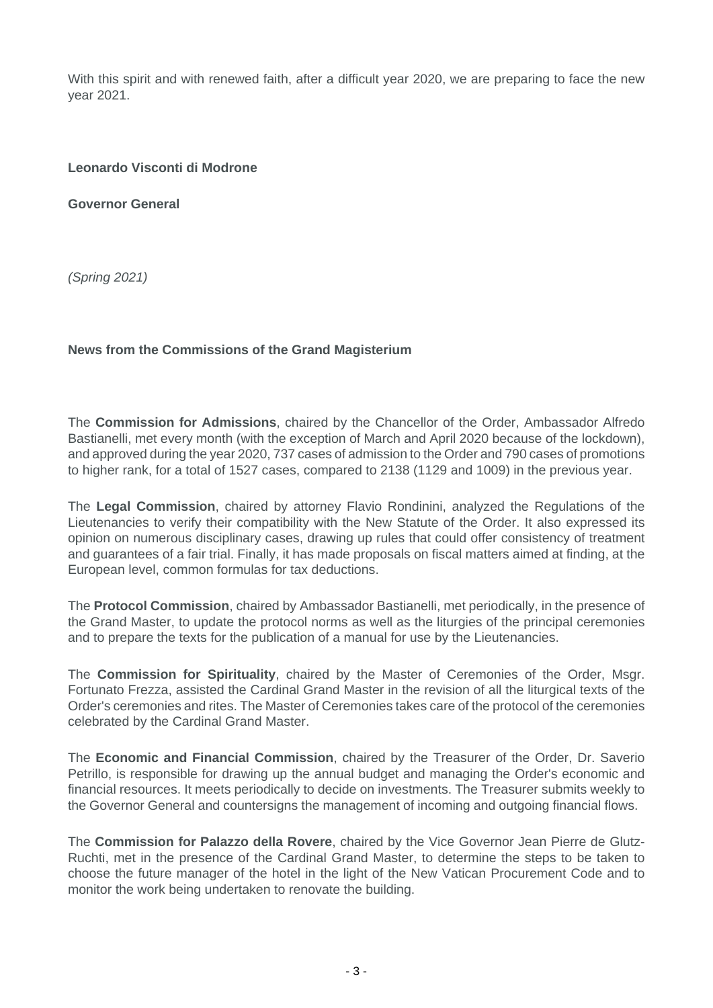With this spirit and with renewed faith, after a difficult year 2020, we are preparing to face the new year 2021.

## **Leonardo Visconti di Modrone**

**Governor General**

(Spring 2021)

## **News from the Commissions of the Grand Magisterium**

The **Commission for Admissions**, chaired by the Chancellor of the Order, Ambassador Alfredo Bastianelli, met every month (with the exception of March and April 2020 because of the lockdown), and approved during the year 2020, 737 cases of admission to the Order and 790 cases of promotions to higher rank, for a total of 1527 cases, compared to 2138 (1129 and 1009) in the previous year.

The **Legal Commission**, chaired by attorney Flavio Rondinini, analyzed the Regulations of the Lieutenancies to verify their compatibility with the New Statute of the Order. It also expressed its opinion on numerous disciplinary cases, drawing up rules that could offer consistency of treatment and guarantees of a fair trial. Finally, it has made proposals on fiscal matters aimed at finding, at the European level, common formulas for tax deductions.

The **Protocol Commission**, chaired by Ambassador Bastianelli, met periodically, in the presence of the Grand Master, to update the protocol norms as well as the liturgies of the principal ceremonies and to prepare the texts for the publication of a manual for use by the Lieutenancies.

The **Commission for Spirituality**, chaired by the Master of Ceremonies of the Order, Msgr. Fortunato Frezza, assisted the Cardinal Grand Master in the revision of all the liturgical texts of the Order's ceremonies and rites. The Master of Ceremonies takes care of the protocol of the ceremonies celebrated by the Cardinal Grand Master.

The **Economic and Financial Commission**, chaired by the Treasurer of the Order, Dr. Saverio Petrillo, is responsible for drawing up the annual budget and managing the Order's economic and financial resources. It meets periodically to decide on investments. The Treasurer submits weekly to the Governor General and countersigns the management of incoming and outgoing financial flows.

The **Commission for Palazzo della Rovere**, chaired by the Vice Governor Jean Pierre de Glutz-Ruchti, met in the presence of the Cardinal Grand Master, to determine the steps to be taken to choose the future manager of the hotel in the light of the New Vatican Procurement Code and to monitor the work being undertaken to renovate the building.